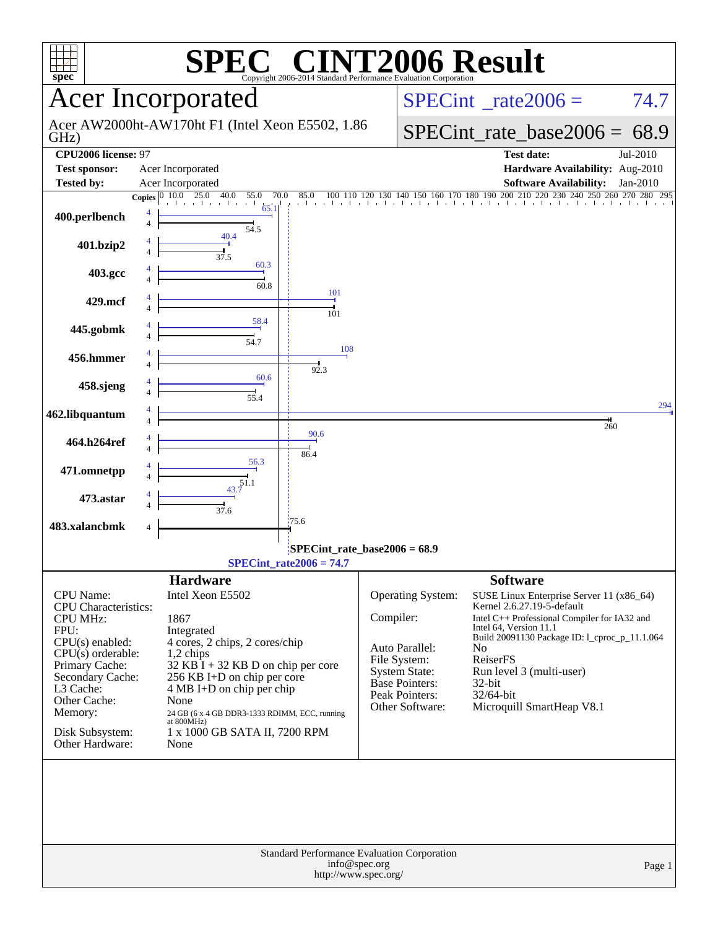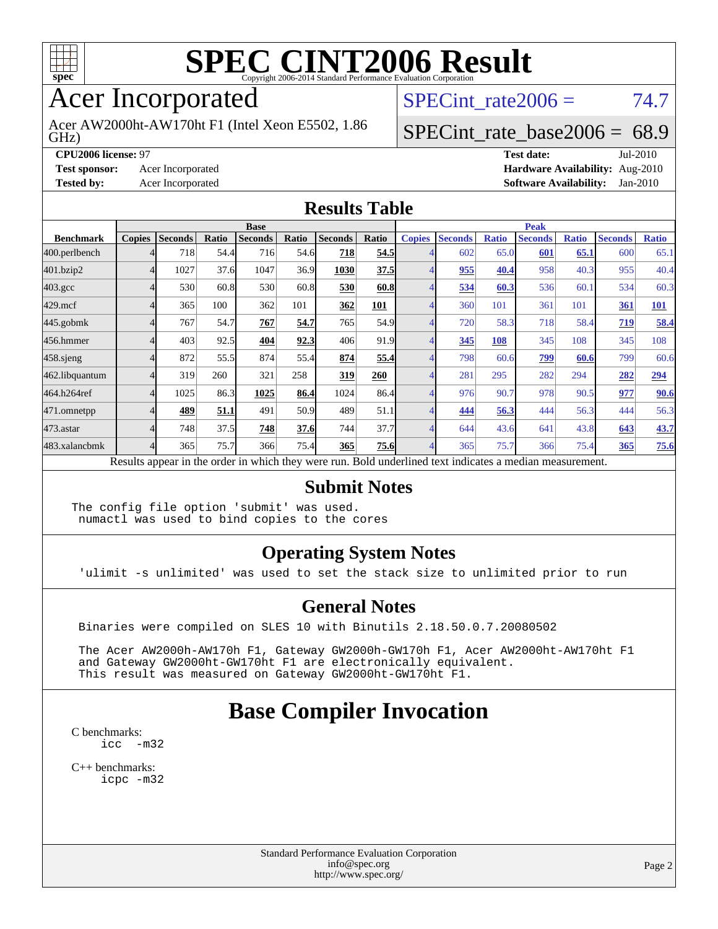

# Acer Incorporated

GHz) Acer AW2000ht-AW170ht F1 (Intel Xeon E5502, 1.86 SPECint rate $2006 = 74.7$ 

#### [SPECint\\_rate\\_base2006 =](http://www.spec.org/auto/cpu2006/Docs/result-fields.html#SPECintratebase2006) 68.9

**[CPU2006 license:](http://www.spec.org/auto/cpu2006/Docs/result-fields.html#CPU2006license)** 97 **[Test date:](http://www.spec.org/auto/cpu2006/Docs/result-fields.html#Testdate)** Jul-2010 **[Test sponsor:](http://www.spec.org/auto/cpu2006/Docs/result-fields.html#Testsponsor)** Acer Incorporated **[Hardware Availability:](http://www.spec.org/auto/cpu2006/Docs/result-fields.html#HardwareAvailability)** Aug-2010 **[Tested by:](http://www.spec.org/auto/cpu2006/Docs/result-fields.html#Testedby)** Acer Incorporated **[Software Availability:](http://www.spec.org/auto/cpu2006/Docs/result-fields.html#SoftwareAvailability)** Jan-2010

#### **[Results Table](http://www.spec.org/auto/cpu2006/Docs/result-fields.html#ResultsTable)**

|                    | <b>Base</b>   |                |       |                                                                                                          |       |                |       | <b>Peak</b>   |                |              |                |              |                |              |
|--------------------|---------------|----------------|-------|----------------------------------------------------------------------------------------------------------|-------|----------------|-------|---------------|----------------|--------------|----------------|--------------|----------------|--------------|
| <b>Benchmark</b>   | <b>Copies</b> | <b>Seconds</b> | Ratio | <b>Seconds</b>                                                                                           | Ratio | <b>Seconds</b> | Ratio | <b>Copies</b> | <b>Seconds</b> | <b>Ratio</b> | <b>Seconds</b> | <b>Ratio</b> | <b>Seconds</b> | <b>Ratio</b> |
| 400.perlbench      |               | 718            | 54.4  | 716                                                                                                      | 54.6  | 718            | 54.5  |               | 602            | 65.0         | 601            | 65.1         | 600            | 65.1         |
| 401.bzip2          | 4             | 1027           | 37.6  | 1047                                                                                                     | 36.9  | 1030           | 37.5  |               | 955            | 40.4         | 958            | 40.3         | 955            | 40.4         |
| $403.\mathrm{gcc}$ |               | 530            | 60.8  | 530                                                                                                      | 60.8  | 530            | 60.8  |               | 534            | 60.3         | 536            | 60.1         | 534            | 60.3         |
| $429$ .mcf         |               | 365            | 100   | 362                                                                                                      | 101   | 362            | 101   |               | 360            | 101          | 361            | 101          | 361            | <b>101</b>   |
| $445$ .gobmk       |               | 767            | 54.7  | 767                                                                                                      | 54.7  | 765            | 54.9  | 4             | 720            | 58.3         | 718            | 58.4         | 719            | 58.4         |
| 456.hmmer          |               | 403            | 92.5  | 404                                                                                                      | 92.3  | 406            | 91.9  |               | 345            | 108          | 345            | 108          | 345            | 108          |
| $458$ .sjeng       |               | 872            | 55.5  | 874                                                                                                      | 55.4  | 874            | 55.4  |               | 798            | 60.6         | 799            | 60.6         | 799            | 60.6         |
| 462.libquantum     |               | 319            | 260   | 321                                                                                                      | 258   | 319            | 260   |               | 281            | 295          | 282            | 294          | 282            | 294          |
| 464.h264ref        | 4             | 1025           | 86.3  | 1025                                                                                                     | 86.4  | 1024           | 86.4  | 4             | 976            | 90.7         | 978            | 90.5         | 977            | 90.6         |
| 471.omnetpp        |               | 489            | 51.1  | 491                                                                                                      | 50.9  | 489            | 51.1  |               | 444            | 56.3         | 444            | 56.3         | 444            | 56.3         |
| $473$ . astar      |               | 748            | 37.5  | 748                                                                                                      | 37.6  | 744            | 37.7  | 4             | 644            | 43.6         | 641            | 43.8         | 643            | 43.7         |
| 483.xalancbmk      | 4             | 365            | 75.7  | 366                                                                                                      | 75.4  | 365            | 75.6  | 4             | 365            | 75.7         | 366            | 75.4         | 365            | 75.6         |
|                    |               |                |       | Results appear in the order in which they were run. Bold underlined text indicates a median measurement. |       |                |       |               |                |              |                |              |                |              |

#### **[Submit Notes](http://www.spec.org/auto/cpu2006/Docs/result-fields.html#SubmitNotes)**

The config file option 'submit' was used. numactl was used to bind copies to the cores

#### **[Operating System Notes](http://www.spec.org/auto/cpu2006/Docs/result-fields.html#OperatingSystemNotes)**

'ulimit -s unlimited' was used to set the stack size to unlimited prior to run

#### **[General Notes](http://www.spec.org/auto/cpu2006/Docs/result-fields.html#GeneralNotes)**

Binaries were compiled on SLES 10 with Binutils 2.18.50.0.7.20080502

 The Acer AW2000h-AW170h F1, Gateway GW2000h-GW170h F1, Acer AW2000ht-AW170ht F1 and Gateway GW2000ht-GW170ht F1 are electronically equivalent. This result was measured on Gateway GW2000ht-GW170ht F1.

## **[Base Compiler Invocation](http://www.spec.org/auto/cpu2006/Docs/result-fields.html#BaseCompilerInvocation)**

[C benchmarks](http://www.spec.org/auto/cpu2006/Docs/result-fields.html#Cbenchmarks): [icc -m32](http://www.spec.org/cpu2006/results/res2010q3/cpu2006-20100802-12806.flags.html#user_CCbase_intel_icc_32bit_5ff4a39e364c98233615fdd38438c6f2)

[C++ benchmarks:](http://www.spec.org/auto/cpu2006/Docs/result-fields.html#CXXbenchmarks) [icpc -m32](http://www.spec.org/cpu2006/results/res2010q3/cpu2006-20100802-12806.flags.html#user_CXXbase_intel_icpc_32bit_4e5a5ef1a53fd332b3c49e69c3330699)

> Standard Performance Evaluation Corporation [info@spec.org](mailto:info@spec.org) <http://www.spec.org/>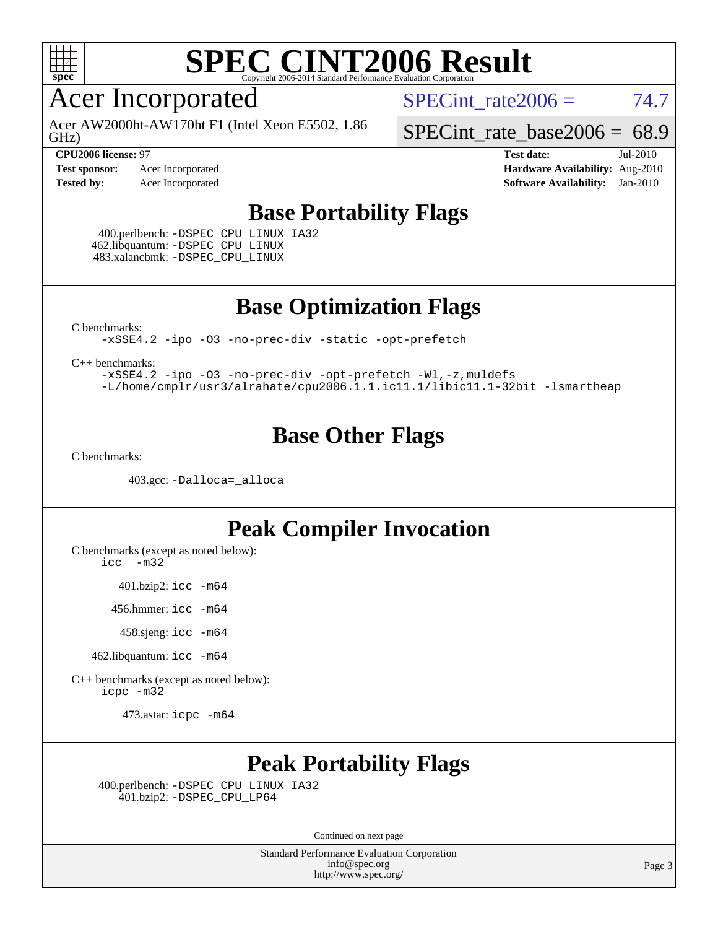

## Acer Incorporated

GHz) Acer AW2000ht-AW170ht F1 (Intel Xeon E5502, 1.86 SPECint rate  $2006 = 74.7$ 

**[CPU2006 license:](http://www.spec.org/auto/cpu2006/Docs/result-fields.html#CPU2006license)** 97 **[Test date:](http://www.spec.org/auto/cpu2006/Docs/result-fields.html#Testdate)** Jul-2010

**[Test sponsor:](http://www.spec.org/auto/cpu2006/Docs/result-fields.html#Testsponsor)** Acer Incorporated **[Hardware Availability:](http://www.spec.org/auto/cpu2006/Docs/result-fields.html#HardwareAvailability)** Aug-2010

[SPECint\\_rate\\_base2006 =](http://www.spec.org/auto/cpu2006/Docs/result-fields.html#SPECintratebase2006) 68.9

**[Tested by:](http://www.spec.org/auto/cpu2006/Docs/result-fields.html#Testedby)** Acer Incorporated **[Software Availability:](http://www.spec.org/auto/cpu2006/Docs/result-fields.html#SoftwareAvailability)** Jan-2010

### **[Base Portability Flags](http://www.spec.org/auto/cpu2006/Docs/result-fields.html#BasePortabilityFlags)**

 400.perlbench: [-DSPEC\\_CPU\\_LINUX\\_IA32](http://www.spec.org/cpu2006/results/res2010q3/cpu2006-20100802-12806.flags.html#b400.perlbench_baseCPORTABILITY_DSPEC_CPU_LINUX_IA32) 462.libquantum: [-DSPEC\\_CPU\\_LINUX](http://www.spec.org/cpu2006/results/res2010q3/cpu2006-20100802-12806.flags.html#b462.libquantum_baseCPORTABILITY_DSPEC_CPU_LINUX) 483.xalancbmk: [-DSPEC\\_CPU\\_LINUX](http://www.spec.org/cpu2006/results/res2010q3/cpu2006-20100802-12806.flags.html#b483.xalancbmk_baseCXXPORTABILITY_DSPEC_CPU_LINUX)

**[Base Optimization Flags](http://www.spec.org/auto/cpu2006/Docs/result-fields.html#BaseOptimizationFlags)**

[C benchmarks](http://www.spec.org/auto/cpu2006/Docs/result-fields.html#Cbenchmarks):

[-xSSE4.2](http://www.spec.org/cpu2006/results/res2010q3/cpu2006-20100802-12806.flags.html#user_CCbase_f-xSSE42_f91528193cf0b216347adb8b939d4107) [-ipo](http://www.spec.org/cpu2006/results/res2010q3/cpu2006-20100802-12806.flags.html#user_CCbase_f-ipo) [-O3](http://www.spec.org/cpu2006/results/res2010q3/cpu2006-20100802-12806.flags.html#user_CCbase_f-O3) [-no-prec-div](http://www.spec.org/cpu2006/results/res2010q3/cpu2006-20100802-12806.flags.html#user_CCbase_f-no-prec-div) [-static](http://www.spec.org/cpu2006/results/res2010q3/cpu2006-20100802-12806.flags.html#user_CCbase_f-static) [-opt-prefetch](http://www.spec.org/cpu2006/results/res2010q3/cpu2006-20100802-12806.flags.html#user_CCbase_f-opt-prefetch)

[C++ benchmarks:](http://www.spec.org/auto/cpu2006/Docs/result-fields.html#CXXbenchmarks)

[-xSSE4.2](http://www.spec.org/cpu2006/results/res2010q3/cpu2006-20100802-12806.flags.html#user_CXXbase_f-xSSE42_f91528193cf0b216347adb8b939d4107) [-ipo](http://www.spec.org/cpu2006/results/res2010q3/cpu2006-20100802-12806.flags.html#user_CXXbase_f-ipo) [-O3](http://www.spec.org/cpu2006/results/res2010q3/cpu2006-20100802-12806.flags.html#user_CXXbase_f-O3) [-no-prec-div](http://www.spec.org/cpu2006/results/res2010q3/cpu2006-20100802-12806.flags.html#user_CXXbase_f-no-prec-div) [-opt-prefetch](http://www.spec.org/cpu2006/results/res2010q3/cpu2006-20100802-12806.flags.html#user_CXXbase_f-opt-prefetch) [-Wl,-z,muldefs](http://www.spec.org/cpu2006/results/res2010q3/cpu2006-20100802-12806.flags.html#user_CXXbase_link_force_multiple1_74079c344b956b9658436fd1b6dd3a8a) [-L/home/cmplr/usr3/alrahate/cpu2006.1.1.ic11.1/libic11.1-32bit -lsmartheap](http://www.spec.org/cpu2006/results/res2010q3/cpu2006-20100802-12806.flags.html#user_CXXbase_SmartHeap_d86dffe4a79b79ef8890d5cce17030c3)

### **[Base Other Flags](http://www.spec.org/auto/cpu2006/Docs/result-fields.html#BaseOtherFlags)**

[C benchmarks](http://www.spec.org/auto/cpu2006/Docs/result-fields.html#Cbenchmarks):

403.gcc: [-Dalloca=\\_alloca](http://www.spec.org/cpu2006/results/res2010q3/cpu2006-20100802-12806.flags.html#b403.gcc_baseEXTRA_CFLAGS_Dalloca_be3056838c12de2578596ca5467af7f3)

### **[Peak Compiler Invocation](http://www.spec.org/auto/cpu2006/Docs/result-fields.html#PeakCompilerInvocation)**

[C benchmarks \(except as noted below\)](http://www.spec.org/auto/cpu2006/Docs/result-fields.html#Cbenchmarksexceptasnotedbelow):

[icc -m32](http://www.spec.org/cpu2006/results/res2010q3/cpu2006-20100802-12806.flags.html#user_CCpeak_intel_icc_32bit_5ff4a39e364c98233615fdd38438c6f2)

401.bzip2: [icc -m64](http://www.spec.org/cpu2006/results/res2010q3/cpu2006-20100802-12806.flags.html#user_peakCCLD401_bzip2_intel_icc_64bit_bda6cc9af1fdbb0edc3795bac97ada53)

456.hmmer: [icc -m64](http://www.spec.org/cpu2006/results/res2010q3/cpu2006-20100802-12806.flags.html#user_peakCCLD456_hmmer_intel_icc_64bit_bda6cc9af1fdbb0edc3795bac97ada53)

458.sjeng: [icc -m64](http://www.spec.org/cpu2006/results/res2010q3/cpu2006-20100802-12806.flags.html#user_peakCCLD458_sjeng_intel_icc_64bit_bda6cc9af1fdbb0edc3795bac97ada53)

462.libquantum: [icc -m64](http://www.spec.org/cpu2006/results/res2010q3/cpu2006-20100802-12806.flags.html#user_peakCCLD462_libquantum_intel_icc_64bit_bda6cc9af1fdbb0edc3795bac97ada53)

[C++ benchmarks \(except as noted below\):](http://www.spec.org/auto/cpu2006/Docs/result-fields.html#CXXbenchmarksexceptasnotedbelow) [icpc -m32](http://www.spec.org/cpu2006/results/res2010q3/cpu2006-20100802-12806.flags.html#user_CXXpeak_intel_icpc_32bit_4e5a5ef1a53fd332b3c49e69c3330699)

473.astar: [icpc -m64](http://www.spec.org/cpu2006/results/res2010q3/cpu2006-20100802-12806.flags.html#user_peakCXXLD473_astar_intel_icpc_64bit_fc66a5337ce925472a5c54ad6a0de310)

## **[Peak Portability Flags](http://www.spec.org/auto/cpu2006/Docs/result-fields.html#PeakPortabilityFlags)**

 400.perlbench: [-DSPEC\\_CPU\\_LINUX\\_IA32](http://www.spec.org/cpu2006/results/res2010q3/cpu2006-20100802-12806.flags.html#b400.perlbench_peakCPORTABILITY_DSPEC_CPU_LINUX_IA32) 401.bzip2: [-DSPEC\\_CPU\\_LP64](http://www.spec.org/cpu2006/results/res2010q3/cpu2006-20100802-12806.flags.html#suite_peakCPORTABILITY401_bzip2_DSPEC_CPU_LP64)

Continued on next page

Standard Performance Evaluation Corporation [info@spec.org](mailto:info@spec.org) <http://www.spec.org/>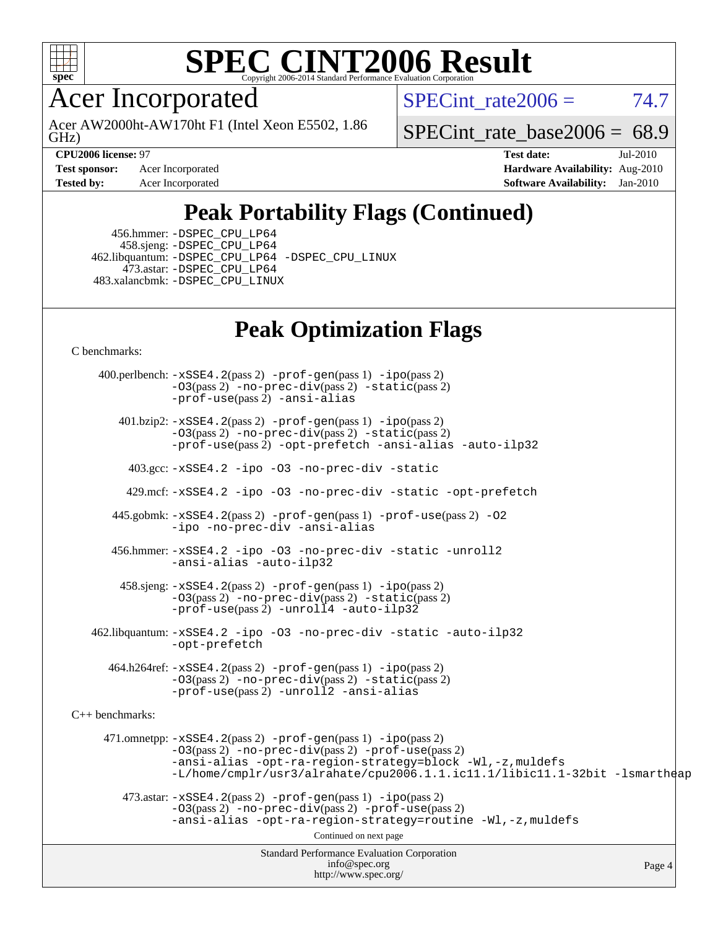

Acer Incorporated

GHz) Acer AW2000ht-AW170ht F1 (Intel Xeon E5502, 1.86 SPECint rate  $2006 = 74.7$ 

[SPECint\\_rate\\_base2006 =](http://www.spec.org/auto/cpu2006/Docs/result-fields.html#SPECintratebase2006) 68.9

**[Test sponsor:](http://www.spec.org/auto/cpu2006/Docs/result-fields.html#Testsponsor)** Acer Incorporated **[Hardware Availability:](http://www.spec.org/auto/cpu2006/Docs/result-fields.html#HardwareAvailability)** Aug-2010

**[CPU2006 license:](http://www.spec.org/auto/cpu2006/Docs/result-fields.html#CPU2006license)** 97 **[Test date:](http://www.spec.org/auto/cpu2006/Docs/result-fields.html#Testdate)** Jul-2010 **[Tested by:](http://www.spec.org/auto/cpu2006/Docs/result-fields.html#Testedby)** Acer Incorporated **[Software Availability:](http://www.spec.org/auto/cpu2006/Docs/result-fields.html#SoftwareAvailability)** Jan-2010

# **[Peak Portability Flags \(Continued\)](http://www.spec.org/auto/cpu2006/Docs/result-fields.html#PeakPortabilityFlags)**

 456.hmmer: [-DSPEC\\_CPU\\_LP64](http://www.spec.org/cpu2006/results/res2010q3/cpu2006-20100802-12806.flags.html#suite_peakCPORTABILITY456_hmmer_DSPEC_CPU_LP64) 458.sjeng: [-DSPEC\\_CPU\\_LP64](http://www.spec.org/cpu2006/results/res2010q3/cpu2006-20100802-12806.flags.html#suite_peakCPORTABILITY458_sjeng_DSPEC_CPU_LP64) 462.libquantum: [-DSPEC\\_CPU\\_LP64](http://www.spec.org/cpu2006/results/res2010q3/cpu2006-20100802-12806.flags.html#suite_peakCPORTABILITY462_libquantum_DSPEC_CPU_LP64) [-DSPEC\\_CPU\\_LINUX](http://www.spec.org/cpu2006/results/res2010q3/cpu2006-20100802-12806.flags.html#b462.libquantum_peakCPORTABILITY_DSPEC_CPU_LINUX) 473.astar: [-DSPEC\\_CPU\\_LP64](http://www.spec.org/cpu2006/results/res2010q3/cpu2006-20100802-12806.flags.html#suite_peakCXXPORTABILITY473_astar_DSPEC_CPU_LP64) 483.xalancbmk: [-DSPEC\\_CPU\\_LINUX](http://www.spec.org/cpu2006/results/res2010q3/cpu2006-20100802-12806.flags.html#b483.xalancbmk_peakCXXPORTABILITY_DSPEC_CPU_LINUX)

## **[Peak Optimization Flags](http://www.spec.org/auto/cpu2006/Docs/result-fields.html#PeakOptimizationFlags)**

[C benchmarks](http://www.spec.org/auto/cpu2006/Docs/result-fields.html#Cbenchmarks):

Standard Performance Evaluation Corporation [info@spec.org](mailto:info@spec.org) <http://www.spec.org/> Page 4 400.perlbench: [-xSSE4.2](http://www.spec.org/cpu2006/results/res2010q3/cpu2006-20100802-12806.flags.html#user_peakPASS2_CFLAGSPASS2_LDCFLAGS400_perlbench_f-xSSE42_f91528193cf0b216347adb8b939d4107)(pass 2) [-prof-gen](http://www.spec.org/cpu2006/results/res2010q3/cpu2006-20100802-12806.flags.html#user_peakPASS1_CFLAGSPASS1_LDCFLAGS400_perlbench_prof_gen_e43856698f6ca7b7e442dfd80e94a8fc)(pass 1) [-ipo](http://www.spec.org/cpu2006/results/res2010q3/cpu2006-20100802-12806.flags.html#user_peakPASS2_CFLAGSPASS2_LDCFLAGS400_perlbench_f-ipo)(pass 2) [-O3](http://www.spec.org/cpu2006/results/res2010q3/cpu2006-20100802-12806.flags.html#user_peakPASS2_CFLAGSPASS2_LDCFLAGS400_perlbench_f-O3)(pass 2) [-no-prec-div](http://www.spec.org/cpu2006/results/res2010q3/cpu2006-20100802-12806.flags.html#user_peakPASS2_CFLAGSPASS2_LDCFLAGS400_perlbench_f-no-prec-div)(pass 2) [-static](http://www.spec.org/cpu2006/results/res2010q3/cpu2006-20100802-12806.flags.html#user_peakPASS2_CFLAGSPASS2_LDCFLAGS400_perlbench_f-static)(pass 2) [-prof-use](http://www.spec.org/cpu2006/results/res2010q3/cpu2006-20100802-12806.flags.html#user_peakPASS2_CFLAGSPASS2_LDCFLAGS400_perlbench_prof_use_bccf7792157ff70d64e32fe3e1250b55)(pass 2) [-ansi-alias](http://www.spec.org/cpu2006/results/res2010q3/cpu2006-20100802-12806.flags.html#user_peakCOPTIMIZE400_perlbench_f-ansi-alias) 401.bzip2: [-xSSE4.2](http://www.spec.org/cpu2006/results/res2010q3/cpu2006-20100802-12806.flags.html#user_peakPASS2_CFLAGSPASS2_LDCFLAGS401_bzip2_f-xSSE42_f91528193cf0b216347adb8b939d4107)(pass 2) [-prof-gen](http://www.spec.org/cpu2006/results/res2010q3/cpu2006-20100802-12806.flags.html#user_peakPASS1_CFLAGSPASS1_LDCFLAGS401_bzip2_prof_gen_e43856698f6ca7b7e442dfd80e94a8fc)(pass 1) [-ipo](http://www.spec.org/cpu2006/results/res2010q3/cpu2006-20100802-12806.flags.html#user_peakPASS2_CFLAGSPASS2_LDCFLAGS401_bzip2_f-ipo)(pass 2) [-O3](http://www.spec.org/cpu2006/results/res2010q3/cpu2006-20100802-12806.flags.html#user_peakPASS2_CFLAGSPASS2_LDCFLAGS401_bzip2_f-O3)(pass 2) [-no-prec-div](http://www.spec.org/cpu2006/results/res2010q3/cpu2006-20100802-12806.flags.html#user_peakPASS2_CFLAGSPASS2_LDCFLAGS401_bzip2_f-no-prec-div)(pass 2) [-static](http://www.spec.org/cpu2006/results/res2010q3/cpu2006-20100802-12806.flags.html#user_peakPASS2_CFLAGSPASS2_LDCFLAGS401_bzip2_f-static)(pass 2) [-prof-use](http://www.spec.org/cpu2006/results/res2010q3/cpu2006-20100802-12806.flags.html#user_peakPASS2_CFLAGSPASS2_LDCFLAGS401_bzip2_prof_use_bccf7792157ff70d64e32fe3e1250b55)(pass 2) [-opt-prefetch](http://www.spec.org/cpu2006/results/res2010q3/cpu2006-20100802-12806.flags.html#user_peakCOPTIMIZE401_bzip2_f-opt-prefetch) [-ansi-alias](http://www.spec.org/cpu2006/results/res2010q3/cpu2006-20100802-12806.flags.html#user_peakCOPTIMIZE401_bzip2_f-ansi-alias) [-auto-ilp32](http://www.spec.org/cpu2006/results/res2010q3/cpu2006-20100802-12806.flags.html#user_peakCOPTIMIZE401_bzip2_f-auto-ilp32) 403.gcc: [-xSSE4.2](http://www.spec.org/cpu2006/results/res2010q3/cpu2006-20100802-12806.flags.html#user_peakCOPTIMIZE403_gcc_f-xSSE42_f91528193cf0b216347adb8b939d4107) [-ipo](http://www.spec.org/cpu2006/results/res2010q3/cpu2006-20100802-12806.flags.html#user_peakCOPTIMIZE403_gcc_f-ipo) [-O3](http://www.spec.org/cpu2006/results/res2010q3/cpu2006-20100802-12806.flags.html#user_peakCOPTIMIZE403_gcc_f-O3) [-no-prec-div](http://www.spec.org/cpu2006/results/res2010q3/cpu2006-20100802-12806.flags.html#user_peakCOPTIMIZE403_gcc_f-no-prec-div) [-static](http://www.spec.org/cpu2006/results/res2010q3/cpu2006-20100802-12806.flags.html#user_peakCOPTIMIZE403_gcc_f-static) 429.mcf: [-xSSE4.2](http://www.spec.org/cpu2006/results/res2010q3/cpu2006-20100802-12806.flags.html#user_peakCOPTIMIZE429_mcf_f-xSSE42_f91528193cf0b216347adb8b939d4107) [-ipo](http://www.spec.org/cpu2006/results/res2010q3/cpu2006-20100802-12806.flags.html#user_peakCOPTIMIZE429_mcf_f-ipo) [-O3](http://www.spec.org/cpu2006/results/res2010q3/cpu2006-20100802-12806.flags.html#user_peakCOPTIMIZE429_mcf_f-O3) [-no-prec-div](http://www.spec.org/cpu2006/results/res2010q3/cpu2006-20100802-12806.flags.html#user_peakCOPTIMIZE429_mcf_f-no-prec-div) [-static](http://www.spec.org/cpu2006/results/res2010q3/cpu2006-20100802-12806.flags.html#user_peakCOPTIMIZE429_mcf_f-static) [-opt-prefetch](http://www.spec.org/cpu2006/results/res2010q3/cpu2006-20100802-12806.flags.html#user_peakCOPTIMIZE429_mcf_f-opt-prefetch) 445.gobmk: [-xSSE4.2](http://www.spec.org/cpu2006/results/res2010q3/cpu2006-20100802-12806.flags.html#user_peakPASS2_CFLAGSPASS2_LDCFLAGS445_gobmk_f-xSSE42_f91528193cf0b216347adb8b939d4107)(pass 2) [-prof-gen](http://www.spec.org/cpu2006/results/res2010q3/cpu2006-20100802-12806.flags.html#user_peakPASS1_CFLAGSPASS1_LDCFLAGS445_gobmk_prof_gen_e43856698f6ca7b7e442dfd80e94a8fc)(pass 1) [-prof-use](http://www.spec.org/cpu2006/results/res2010q3/cpu2006-20100802-12806.flags.html#user_peakPASS2_CFLAGSPASS2_LDCFLAGS445_gobmk_prof_use_bccf7792157ff70d64e32fe3e1250b55)(pass 2) [-O2](http://www.spec.org/cpu2006/results/res2010q3/cpu2006-20100802-12806.flags.html#user_peakCOPTIMIZE445_gobmk_f-O2) [-ipo](http://www.spec.org/cpu2006/results/res2010q3/cpu2006-20100802-12806.flags.html#user_peakCOPTIMIZE445_gobmk_f-ipo) [-no-prec-div](http://www.spec.org/cpu2006/results/res2010q3/cpu2006-20100802-12806.flags.html#user_peakCOPTIMIZE445_gobmk_f-no-prec-div) [-ansi-alias](http://www.spec.org/cpu2006/results/res2010q3/cpu2006-20100802-12806.flags.html#user_peakCOPTIMIZE445_gobmk_f-ansi-alias) 456.hmmer: [-xSSE4.2](http://www.spec.org/cpu2006/results/res2010q3/cpu2006-20100802-12806.flags.html#user_peakCOPTIMIZE456_hmmer_f-xSSE42_f91528193cf0b216347adb8b939d4107) [-ipo](http://www.spec.org/cpu2006/results/res2010q3/cpu2006-20100802-12806.flags.html#user_peakCOPTIMIZE456_hmmer_f-ipo) [-O3](http://www.spec.org/cpu2006/results/res2010q3/cpu2006-20100802-12806.flags.html#user_peakCOPTIMIZE456_hmmer_f-O3) [-no-prec-div](http://www.spec.org/cpu2006/results/res2010q3/cpu2006-20100802-12806.flags.html#user_peakCOPTIMIZE456_hmmer_f-no-prec-div) [-static](http://www.spec.org/cpu2006/results/res2010q3/cpu2006-20100802-12806.flags.html#user_peakCOPTIMIZE456_hmmer_f-static) [-unroll2](http://www.spec.org/cpu2006/results/res2010q3/cpu2006-20100802-12806.flags.html#user_peakCOPTIMIZE456_hmmer_f-unroll_784dae83bebfb236979b41d2422d7ec2) [-ansi-alias](http://www.spec.org/cpu2006/results/res2010q3/cpu2006-20100802-12806.flags.html#user_peakCOPTIMIZE456_hmmer_f-ansi-alias) [-auto-ilp32](http://www.spec.org/cpu2006/results/res2010q3/cpu2006-20100802-12806.flags.html#user_peakCOPTIMIZE456_hmmer_f-auto-ilp32) 458.sjeng: [-xSSE4.2](http://www.spec.org/cpu2006/results/res2010q3/cpu2006-20100802-12806.flags.html#user_peakPASS2_CFLAGSPASS2_LDCFLAGS458_sjeng_f-xSSE42_f91528193cf0b216347adb8b939d4107)(pass 2) [-prof-gen](http://www.spec.org/cpu2006/results/res2010q3/cpu2006-20100802-12806.flags.html#user_peakPASS1_CFLAGSPASS1_LDCFLAGS458_sjeng_prof_gen_e43856698f6ca7b7e442dfd80e94a8fc)(pass 1) [-ipo](http://www.spec.org/cpu2006/results/res2010q3/cpu2006-20100802-12806.flags.html#user_peakPASS2_CFLAGSPASS2_LDCFLAGS458_sjeng_f-ipo)(pass 2) [-O3](http://www.spec.org/cpu2006/results/res2010q3/cpu2006-20100802-12806.flags.html#user_peakPASS2_CFLAGSPASS2_LDCFLAGS458_sjeng_f-O3)(pass 2) [-no-prec-div](http://www.spec.org/cpu2006/results/res2010q3/cpu2006-20100802-12806.flags.html#user_peakPASS2_CFLAGSPASS2_LDCFLAGS458_sjeng_f-no-prec-div)(pass 2) [-static](http://www.spec.org/cpu2006/results/res2010q3/cpu2006-20100802-12806.flags.html#user_peakPASS2_CFLAGSPASS2_LDCFLAGS458_sjeng_f-static)(pass 2) [-prof-use](http://www.spec.org/cpu2006/results/res2010q3/cpu2006-20100802-12806.flags.html#user_peakPASS2_CFLAGSPASS2_LDCFLAGS458_sjeng_prof_use_bccf7792157ff70d64e32fe3e1250b55)(pass 2) [-unroll4](http://www.spec.org/cpu2006/results/res2010q3/cpu2006-20100802-12806.flags.html#user_peakCOPTIMIZE458_sjeng_f-unroll_4e5e4ed65b7fd20bdcd365bec371b81f) [-auto-ilp32](http://www.spec.org/cpu2006/results/res2010q3/cpu2006-20100802-12806.flags.html#user_peakCOPTIMIZE458_sjeng_f-auto-ilp32) 462.libquantum: [-xSSE4.2](http://www.spec.org/cpu2006/results/res2010q3/cpu2006-20100802-12806.flags.html#user_peakCOPTIMIZE462_libquantum_f-xSSE42_f91528193cf0b216347adb8b939d4107) [-ipo](http://www.spec.org/cpu2006/results/res2010q3/cpu2006-20100802-12806.flags.html#user_peakCOPTIMIZE462_libquantum_f-ipo) [-O3](http://www.spec.org/cpu2006/results/res2010q3/cpu2006-20100802-12806.flags.html#user_peakCOPTIMIZE462_libquantum_f-O3) [-no-prec-div](http://www.spec.org/cpu2006/results/res2010q3/cpu2006-20100802-12806.flags.html#user_peakCOPTIMIZE462_libquantum_f-no-prec-div) [-static](http://www.spec.org/cpu2006/results/res2010q3/cpu2006-20100802-12806.flags.html#user_peakCOPTIMIZE462_libquantum_f-static) [-auto-ilp32](http://www.spec.org/cpu2006/results/res2010q3/cpu2006-20100802-12806.flags.html#user_peakCOPTIMIZE462_libquantum_f-auto-ilp32) [-opt-prefetch](http://www.spec.org/cpu2006/results/res2010q3/cpu2006-20100802-12806.flags.html#user_peakCOPTIMIZE462_libquantum_f-opt-prefetch) 464.h264ref: [-xSSE4.2](http://www.spec.org/cpu2006/results/res2010q3/cpu2006-20100802-12806.flags.html#user_peakPASS2_CFLAGSPASS2_LDCFLAGS464_h264ref_f-xSSE42_f91528193cf0b216347adb8b939d4107)(pass 2) [-prof-gen](http://www.spec.org/cpu2006/results/res2010q3/cpu2006-20100802-12806.flags.html#user_peakPASS1_CFLAGSPASS1_LDCFLAGS464_h264ref_prof_gen_e43856698f6ca7b7e442dfd80e94a8fc)(pass 1) [-ipo](http://www.spec.org/cpu2006/results/res2010q3/cpu2006-20100802-12806.flags.html#user_peakPASS2_CFLAGSPASS2_LDCFLAGS464_h264ref_f-ipo)(pass 2) [-O3](http://www.spec.org/cpu2006/results/res2010q3/cpu2006-20100802-12806.flags.html#user_peakPASS2_CFLAGSPASS2_LDCFLAGS464_h264ref_f-O3)(pass 2) [-no-prec-div](http://www.spec.org/cpu2006/results/res2010q3/cpu2006-20100802-12806.flags.html#user_peakPASS2_CFLAGSPASS2_LDCFLAGS464_h264ref_f-no-prec-div)(pass 2) [-static](http://www.spec.org/cpu2006/results/res2010q3/cpu2006-20100802-12806.flags.html#user_peakPASS2_CFLAGSPASS2_LDCFLAGS464_h264ref_f-static)(pass 2) [-prof-use](http://www.spec.org/cpu2006/results/res2010q3/cpu2006-20100802-12806.flags.html#user_peakPASS2_CFLAGSPASS2_LDCFLAGS464_h264ref_prof_use_bccf7792157ff70d64e32fe3e1250b55)(pass 2) [-unroll2](http://www.spec.org/cpu2006/results/res2010q3/cpu2006-20100802-12806.flags.html#user_peakCOPTIMIZE464_h264ref_f-unroll_784dae83bebfb236979b41d2422d7ec2) [-ansi-alias](http://www.spec.org/cpu2006/results/res2010q3/cpu2006-20100802-12806.flags.html#user_peakCOPTIMIZE464_h264ref_f-ansi-alias) [C++ benchmarks:](http://www.spec.org/auto/cpu2006/Docs/result-fields.html#CXXbenchmarks) 471.omnetpp: [-xSSE4.2](http://www.spec.org/cpu2006/results/res2010q3/cpu2006-20100802-12806.flags.html#user_peakPASS2_CXXFLAGSPASS2_LDCXXFLAGS471_omnetpp_f-xSSE42_f91528193cf0b216347adb8b939d4107)(pass 2) [-prof-gen](http://www.spec.org/cpu2006/results/res2010q3/cpu2006-20100802-12806.flags.html#user_peakPASS1_CXXFLAGSPASS1_LDCXXFLAGS471_omnetpp_prof_gen_e43856698f6ca7b7e442dfd80e94a8fc)(pass 1) [-ipo](http://www.spec.org/cpu2006/results/res2010q3/cpu2006-20100802-12806.flags.html#user_peakPASS2_CXXFLAGSPASS2_LDCXXFLAGS471_omnetpp_f-ipo)(pass 2) [-O3](http://www.spec.org/cpu2006/results/res2010q3/cpu2006-20100802-12806.flags.html#user_peakPASS2_CXXFLAGSPASS2_LDCXXFLAGS471_omnetpp_f-O3)(pass 2) [-no-prec-div](http://www.spec.org/cpu2006/results/res2010q3/cpu2006-20100802-12806.flags.html#user_peakPASS2_CXXFLAGSPASS2_LDCXXFLAGS471_omnetpp_f-no-prec-div)(pass 2) [-prof-use](http://www.spec.org/cpu2006/results/res2010q3/cpu2006-20100802-12806.flags.html#user_peakPASS2_CXXFLAGSPASS2_LDCXXFLAGS471_omnetpp_prof_use_bccf7792157ff70d64e32fe3e1250b55)(pass 2) [-ansi-alias](http://www.spec.org/cpu2006/results/res2010q3/cpu2006-20100802-12806.flags.html#user_peakCXXOPTIMIZE471_omnetpp_f-ansi-alias) [-opt-ra-region-strategy=block](http://www.spec.org/cpu2006/results/res2010q3/cpu2006-20100802-12806.flags.html#user_peakCXXOPTIMIZE471_omnetpp_f-opt-ra-region-strategy-block_a0a37c372d03933b2a18d4af463c1f69) [-Wl,-z,muldefs](http://www.spec.org/cpu2006/results/res2010q3/cpu2006-20100802-12806.flags.html#user_peakEXTRA_LDFLAGS471_omnetpp_link_force_multiple1_74079c344b956b9658436fd1b6dd3a8a) [-L/home/cmplr/usr3/alrahate/cpu2006.1.1.ic11.1/libic11.1-32bit -lsmartheap](http://www.spec.org/cpu2006/results/res2010q3/cpu2006-20100802-12806.flags.html#user_peakEXTRA_LIBS471_omnetpp_SmartHeap_d86dffe4a79b79ef8890d5cce17030c3)  $473.\text{astar: } -xSSE4$ .  $2(\text{pass 2})$   $-\text{prof-gen}(\text{pass 1})$   $-i\text{po}(\text{pass 2})$ [-O3](http://www.spec.org/cpu2006/results/res2010q3/cpu2006-20100802-12806.flags.html#user_peakPASS2_CXXFLAGSPASS2_LDCXXFLAGS473_astar_f-O3)(pass 2) [-no-prec-div](http://www.spec.org/cpu2006/results/res2010q3/cpu2006-20100802-12806.flags.html#user_peakPASS2_CXXFLAGSPASS2_LDCXXFLAGS473_astar_f-no-prec-div)(pass 2) [-prof-use](http://www.spec.org/cpu2006/results/res2010q3/cpu2006-20100802-12806.flags.html#user_peakPASS2_CXXFLAGSPASS2_LDCXXFLAGS473_astar_prof_use_bccf7792157ff70d64e32fe3e1250b55)(pass 2) [-ansi-alias](http://www.spec.org/cpu2006/results/res2010q3/cpu2006-20100802-12806.flags.html#user_peakCXXOPTIMIZE473_astar_f-ansi-alias) [-opt-ra-region-strategy=routine](http://www.spec.org/cpu2006/results/res2010q3/cpu2006-20100802-12806.flags.html#user_peakCXXOPTIMIZE473_astar_f-opt-ra-region-strategy-routine_ba086ea3b1d46a52e1238e2ca173ed44) [-Wl,-z,muldefs](http://www.spec.org/cpu2006/results/res2010q3/cpu2006-20100802-12806.flags.html#user_peakEXTRA_LDFLAGS473_astar_link_force_multiple1_74079c344b956b9658436fd1b6dd3a8a) Continued on next page